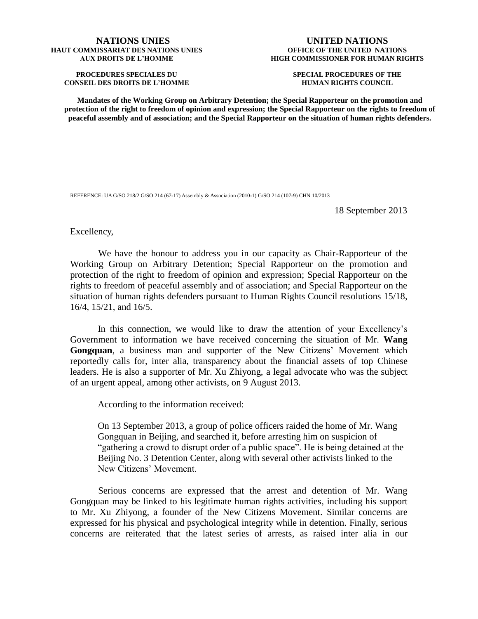## **NATIONS UNIES HAUT COMMISSARIAT DES NATIONS UNIES AUX DROITS DE L'HOMME**

**PROCEDURES SPECIALES DU CONSEIL DES DROITS DE L'HOMME**

## **UNITED NATIONS OFFICE OF THE UNITED NATIONS HIGH COMMISSIONER FOR HUMAN RIGHTS**

**SPECIAL PROCEDURES OF THE HUMAN RIGHTS COUNCIL**

**Mandates of the Working Group on Arbitrary Detention; the Special Rapporteur on the promotion and protection of the right to freedom of opinion and expression; the Special Rapporteur on the rights to freedom of peaceful assembly and of association; and the Special Rapporteur on the situation of human rights defenders.**

REFERENCE: UA G/SO 218/2 G/SO 214 (67-17) Assembly & Association (2010-1) G/SO 214 (107-9) CHN 10/2013

18 September 2013

Excellency,

We have the honour to address you in our capacity as Chair-Rapporteur of the Working Group on Arbitrary Detention; Special Rapporteur on the promotion and protection of the right to freedom of opinion and expression; Special Rapporteur on the rights to freedom of peaceful assembly and of association; and Special Rapporteur on the situation of human rights defenders pursuant to Human Rights Council resolutions 15/18, 16/4, 15/21, and 16/5.

In this connection, we would like to draw the attention of your Excellency's Government to information we have received concerning the situation of Mr. **Wang Gongquan**, a business man and supporter of the New Citizens' Movement which reportedly calls for, inter alia, transparency about the financial assets of top Chinese leaders. He is also a supporter of Mr. Xu Zhiyong, a legal advocate who was the subject of an urgent appeal, among other activists, on 9 August 2013.

According to the information received:

On 13 September 2013, a group of police officers raided the home of Mr. Wang Gongquan in Beijing, and searched it, before arresting him on suspicion of "gathering a crowd to disrupt order of a public space". He is being detained at the Beijing No. 3 Detention Center, along with several other activists linked to the New Citizens' Movement.

Serious concerns are expressed that the arrest and detention of Mr. Wang Gongquan may be linked to his legitimate human rights activities, including his support to Mr. Xu Zhiyong, a founder of the New Citizens Movement. Similar concerns are expressed for his physical and psychological integrity while in detention. Finally, serious concerns are reiterated that the latest series of arrests, as raised inter alia in our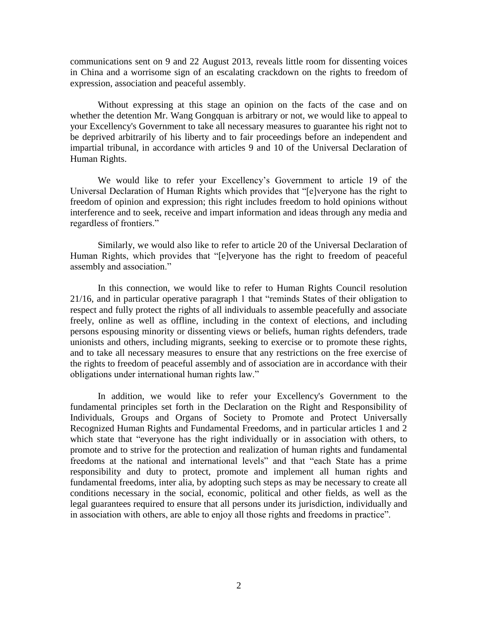communications sent on 9 and 22 August 2013, reveals little room for dissenting voices in China and a worrisome sign of an escalating crackdown on the rights to freedom of expression, association and peaceful assembly.

Without expressing at this stage an opinion on the facts of the case and on whether the detention Mr. Wang Gongquan is arbitrary or not, we would like to appeal to your Excellency's Government to take all necessary measures to guarantee his right not to be deprived arbitrarily of his liberty and to fair proceedings before an independent and impartial tribunal, in accordance with articles 9 and 10 of the Universal Declaration of Human Rights.

We would like to refer your Excellency's Government to article 19 of the Universal Declaration of Human Rights which provides that "[e]veryone has the right to freedom of opinion and expression; this right includes freedom to hold opinions without interference and to seek, receive and impart information and ideas through any media and regardless of frontiers."

Similarly, we would also like to refer to article 20 of the Universal Declaration of Human Rights, which provides that "[e]veryone has the right to freedom of peaceful assembly and association."

In this connection, we would like to refer to Human Rights Council resolution 21/16, and in particular operative paragraph 1 that "reminds States of their obligation to respect and fully protect the rights of all individuals to assemble peacefully and associate freely, online as well as offline, including in the context of elections, and including persons espousing minority or dissenting views or beliefs, human rights defenders, trade unionists and others, including migrants, seeking to exercise or to promote these rights, and to take all necessary measures to ensure that any restrictions on the free exercise of the rights to freedom of peaceful assembly and of association are in accordance with their obligations under international human rights law."

In addition, we would like to refer your Excellency's Government to the fundamental principles set forth in the Declaration on the Right and Responsibility of Individuals, Groups and Organs of Society to Promote and Protect Universally Recognized Human Rights and Fundamental Freedoms, and in particular articles 1 and 2 which state that "everyone has the right individually or in association with others, to promote and to strive for the protection and realization of human rights and fundamental freedoms at the national and international levels" and that "each State has a prime responsibility and duty to protect, promote and implement all human rights and fundamental freedoms, inter alia, by adopting such steps as may be necessary to create all conditions necessary in the social, economic, political and other fields, as well as the legal guarantees required to ensure that all persons under its jurisdiction, individually and in association with others, are able to enjoy all those rights and freedoms in practice".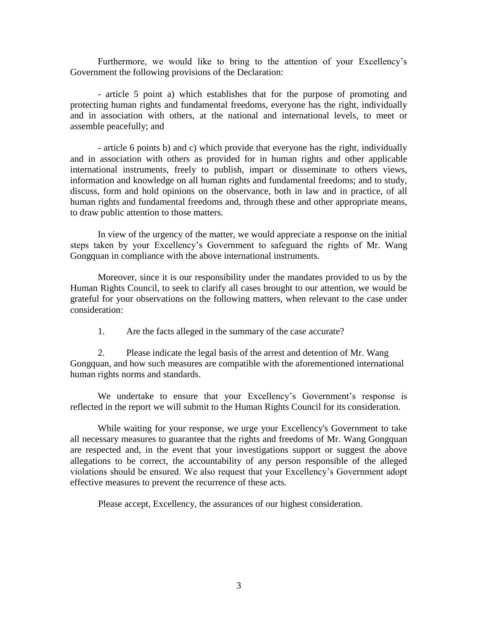Furthermore, we would like to bring to the attention of your Excellency's Government the following provisions of the Declaration:

- article 5 point a) which establishes that for the purpose of promoting and protecting human rights and fundamental freedoms, everyone has the right, individually and in association with others, at the national and international levels, to meet or assemble peacefully; and

- article 6 points b) and c) which provide that everyone has the right, individually and in association with others as provided for in human rights and other applicable international instruments, freely to publish, impart or disseminate to others views, information and knowledge on all human rights and fundamental freedoms; and to study, discuss, form and hold opinions on the observance, both in law and in practice, of all human rights and fundamental freedoms and, through these and other appropriate means, to draw public attention to those matters.

In view of the urgency of the matter, we would appreciate a response on the initial steps taken by your Excellency's Government to safeguard the rights of Mr. Wang Gongquan in compliance with the above international instruments.

Moreover, since it is our responsibility under the mandates provided to us by the Human Rights Council, to seek to clarify all cases brought to our attention, we would be grateful for your observations on the following matters, when relevant to the case under consideration:

1. Are the facts alleged in the summary of the case accurate?

2. Please indicate the legal basis of the arrest and detention of Mr. Wang Gongquan, and how such measures are compatible with the aforementioned international human rights norms and standards.

We undertake to ensure that your Excellency's Government's response is reflected in the report we will submit to the Human Rights Council for its consideration.

While waiting for your response, we urge your Excellency's Government to take all necessary measures to guarantee that the rights and freedoms of Mr. Wang Gongquan are respected and, in the event that your investigations support or suggest the above allegations to be correct, the accountability of any person responsible of the alleged violations should be ensured. We also request that your Excellency's Government adopt effective measures to prevent the recurrence of these acts.

Please accept, Excellency, the assurances of our highest consideration.